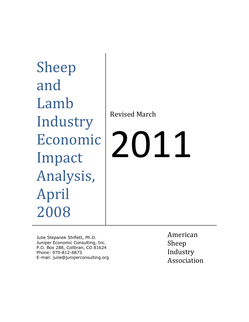Sheep and Lamb Industry Economic Impact Analysis, April 2008

Revised March

# 2011

Julie Stepanek Shiflett, Ph.D. Juniper Economic Consulting, Inc. P.O. Box 288, Collbran, CO 81624 Phone: 970-812-6873 E-mail: julie@juniperconsulting.org American Sheep Industry Association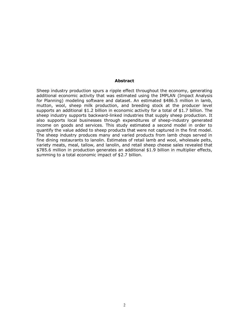#### **Abstract**

Sheep industry production spurs a ripple effect throughout the economy, generating additional economic activity that was estimated using the IMPLAN (Impact Analysis for Planning) modeling software and dataset. An estimated \$486.5 million in lamb, mutton, wool, sheep milk production, and breeding stock at the producer level supports an additional \$1.2 billion in economic activity for a total of \$1.7 billion. The sheep industry supports backward-linked industries that supply sheep production. It also supports local businesses through expenditures of sheep-industry generated income on goods and services. This study estimated a second model in order to quantify the value added to sheep products that were not captured in the first model. The sheep industry produces many and varied products from lamb chops served in fine dining restaurants to lanolin. Estimates of retail lamb and wool, wholesale pelts, variety meats, meal, tallow, and lanolin, and retail sheep cheese sales revealed that \$785.6 million in production generates an additional \$1.9 billion in multiplier effects, summing to a total economic impact of \$2.7 billion.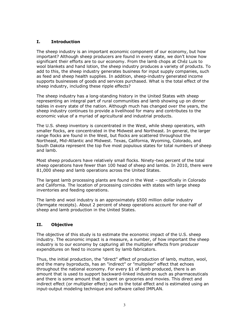# **I. Introduction**

The sheep industry is an important economic component of our economy, but how important? Although sheep producers are found in every state, we don't know how significant their efforts are to our economy. From the lamb chops at Chéz Luis to wool blankets and hand lotion, the sheep industry produces a variety of products. To add to this, the sheep industry generates business for input supply companies, such as feed and sheep health supplies. In addition, sheep-industry generated income supports businesses of goods and services purchased. What is the total effect of the sheep industry, including these ripple effects?

The sheep industry has a long-standing history in the United States with sheep representing an integral part of rural communities and lamb showing up on dinner tables in every state of the nation. Although much has changed over the years, the sheep industry continues to provide a livelihood for many and contributes to the economic value of a myriad of agricultural and industrial products.

The U.S. sheep inventory is concentrated in the West, while sheep operators, with smaller flocks, are concentrated in the Midwest and Northeast. In general, the larger range flocks are found in the West, but flocks are scattered throughout the Northeast, Mid-Atlantic and Midwest. Texas, California, Wyoming, Colorado, and South Dakota represent the top five most populous states for total numbers of sheep and lamb.

Most sheep producers have relatively small flocks. Ninety-two percent of the total sheep operations have fewer than 100 head of sheep and lambs. In 2010, there were 81,000 sheep and lamb operations across the United States.

The largest lamb processing plants are found in the West – specifically in Colorado and California. The location of processing coincides with states with large sheep inventories and feeding operations.

The lamb and wool industry is an approximately \$500 million dollar industry (farmgate receipts). About 2 percent of sheep operations account for one-half of sheep and lamb production in the United States.

# **II. Objective**

The objective of this study is to estimate the economic impact of the U.S. sheep industry. The economic impact is a measure, a number, of how important the sheep industry is to our economy by capturing all the multiplier effects from producer expenditures on feed to income spent by lamb fabricators.

Thus, the initial production, the "direct" effect of production of lamb, mutton, wool, and the many byproducts, has an "indirect" or "multiplier" effect that echoes throughout the national economy. For every \$1 of lamb produced, there is an amount that is used to support backward-linked industries such as pharmaceuticals and there is some amount that is spent on groceries and movies. This direct and indirect effect (or multiplier effect) sum to the total effect and is estimated using an input-output modeling technique and software called IMPLAN.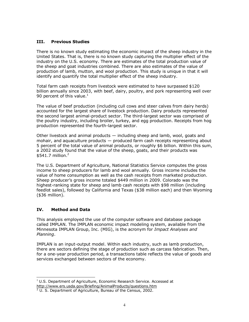#### **III. Previous Studies**

There is no known study estimating the economic impact of the sheep industry in the United States. That is, there is no known study capturing the multiplier effect of the industry on the U.S. economy. There are estimates of the total production value of the sheep and goat industries combined. There are also estimates of the value of production of lamb, mutton, and wool production. This study is unique in that it will identify and quantify the total multiplier effect of the sheep industry.

Total farm cash receipts from livestock were estimated to have surpassed \$120 billion annually since 2003, with beef, dairy, poultry, and pork representing well over 90 percent of this value.<sup>1</sup>

The value of beef production (including cull cows and steer calves from dairy herds) accounted for the largest share of livestock production. Dairy products represented the second largest animal-product sector. The third-largest sector was comprised of the poultry industry, including broiler, turkey, and egg production. Receipts from hog production represented the fourth-largest sector.

Other livestock and animal products — including sheep and lamb, wool, goats and mohair, and aquaculture products — produced farm cash receipts representing about 5 percent of the total value of animal products, or roughly \$6 billion. Within this sum, a 2002 study found that the value of the sheep, goats, and their products was  $$541.7$  million. $^2$ 

The U.S. Department of Agriculture, National Statistics Service computes the gross income to sheep producers for lamb and wool annually. Gross income includes the value of home consumption as well as the cash receipts from marketed production. Sheep producer's gross income totaled \$449 million in 2009. Colorado was the highest-ranking state for sheep and lamb cash receipts with \$98 million (including feedlot sales), followed by California and Texas (\$38 million each) and then Wyoming (\$36 million).

## **IV. Method and Data**

L

This analysis employed the use of the computer software and database package called IMPLAN. The IMPLAN economic impact modeling system, available from the Minnesota IMPLAN Group, Inc. (MIG), is the acronym for *Impact Analyses and Planning*.

IMPLAN is an input-output model. Within each industry, such as lamb production, there are sectors defining the stage of production such as carcass fabrication. Then, for a one-year production period, a transactions table reflects the value of goods and services exchanged between sectors of the economy.

 $1$  U.S. Department of Agriculture, Economic Research Service. Accessed at <http://www.ers.usda.gov/Briefing/AnimalProducts/questions.htm>

 $2$  U. S. Department of Agriculture, Bureau of the Census, 2002.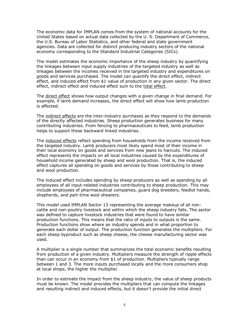The economic data for IMPLAN comes from the system of national accounts for the United States based on actual data collected by the U. S. Department of Commerce, the U.S. Bureau of Labor Statistics, and other federal and state government agencies. Data are collected for distinct producing industry sectors of the national economy corresponding to the Standard Industrial Categories (SICs).

The model estimates the economic importance of the sheep industry by quantifying the linkages between input supply industries of the targeted industry as well as linkages between the incomes received in the targeted industry and expenditures on goods and services purchased. The model can quantify the direct effect, indirect effect, and induced effect from \$1 value of production in any given sector. The direct effect, indirect effect and induced effect sum to the total effect.

The direct effect shows how output changes with a given change in final demand. For example, if lamb demand increases, the direct effect will show how lamb production is affected.

The indirect effects are the inter-industry purchases as they respond to the demands of the directly affected industries. Sheep production generates business for many contributing industries. From fencing to pharmaceuticals to feed, lamb production helps to support these backward linked industries.

The induced effects reflect spending from households from the income received from the targeted industry. Lamb producers most likely spend most of their income in their local economy on goods and services from new jeans to haircuts. The induced effect represents the impacts on all local industries caused by the expenditures of household income generated by sheep and wool production. That is, the induced effect captures all spending on goods and services by those contributing to sheep and wool production.

The induced effect includes spending by sheep producers as well as spending by all employees of all input-related industries contributing to sheep production. This may include employees of pharmaceutical companies, guard dog breeders, feedlot hands, shepherds, and part-time wool shearers.

This model used IMPLAN Sector 13 representing the average makeup of all noncattle and non-poultry livestock and within which the sheep industry falls. The sector was defined to capture livestock industries that were found to have similar production functions. This means that the ratio of inputs to outputs is the same. Production functions show where an industry spends and in what proportion to generate each dollar of output. The production function generates the multipliers. For each sheep byproduct such as sheep cheese, the cheese manufacturing sector was used.

A multiplier is a single number that summarizes the total economic benefits resulting from production of a given industry. Multipliers measure the strength of ripple effects than can occur in an economy from \$1 of production. Multipliers typically range between 1 and 3. The more inputs purchased locally and the more consumers shop at local shops, the higher the multiplier.

In order to estimate the impact from the sheep industry, the value of sheep products must be known. The model provides the multipliers that can compute the linkages and resulting indirect and induced effects, but it doesn't provide the initial direct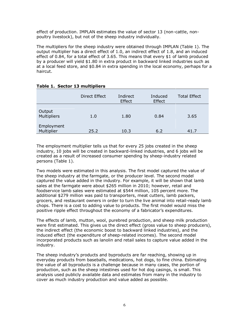effect of production. IMPLAN estimates the value of sector 13 (non-cattle, nonpoultry livestock), but not of the sheep industry individually.

The multipliers for the sheep industry were obtained through IMPLAN (Table 1). The output multiplier has a direct effect of 1.0, an indirect effect of 1.8, and an induced effect of 0.84, for a total effect of 3.65. This means that every \$1 of lamb produced by a producer will yield \$1.80 in extra product in backward linked industries such as at a local feed store, and \$0.84 in extra spending in the local economy, perhaps for a haircut.

|                          | <b>Direct Effect</b> | Indirect<br>Effect | Induced<br>Effect | <b>Total Effect</b> |
|--------------------------|----------------------|--------------------|-------------------|---------------------|
| Output<br>Multipliers    | 1.0                  | 1.80               | 0.84              | 3.65                |
| Employment<br>Multiplier | 25.2                 | 10.3               | 6.2               | 41.7                |

## **Table 1. Sector 13 multipliers**

The employment multiplier tells us that for every 25 jobs created in the sheep industry, 10 jobs will be created in backward-linked industries, and 6 jobs will be created as a result of increased consumer spending by sheep-industry related persons (Table 1).

Two models were estimated in this analysis. The first model captured the value of the sheep industry at the farmgate, or the producer level. The second model captured the value added in the industry. For example, it will be shown that lamb sales at the farmgate were about \$265 million in 2010; however, retail and foodservice lamb sales were estimated at \$544 million, 105 percent more. The additional \$279 million was paid to transporters, meat cutters, lamb packers, grocers, and restaurant owners in order to turn the live animal into retail-ready lamb chops. There is a cost to adding value to products. The first model would miss the positive ripple effect throughout the economy of a fabricator's expenditures.

The effects of lamb, mutton, wool, purebred production, and sheep milk production were first estimated. This gives us the direct effect (gross value to sheep producers), the indirect effect (the economic boost to backward linked industries), and the induced effect (the expenditure of sheep-related incomes). The second model incorporated products such as lanolin and retail sales to capture value added in the industry.

The sheep industry's products and byproducts are far reaching, showing up in everyday products from baseballs, medications, hot dogs, to fine china. Estimating the value of all byproducts is a challenge because in many cases, the portion of production, such as the sheep intestines used for hot dog casings, is small. This analysis used publicly available data and estimates from many in the industry to cover as much industry production and value added as possible.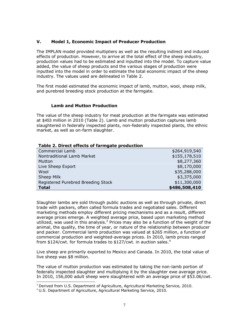## **V. Model 1, Economic Impact of Producer Production**

The IMPLAN model provided multipliers as well as the resulting indirect and induced effects of production. However, to arrive at the total effect of the sheep industry, production values had to be estimated and inputted into the model. To capture value added, the value of sheep products and the various stages of production were inputted into the model in order to estimate the total economic impact of the sheep industry. The values used are delineated in Table 2.

The first model estimated the economic impact of lamb, mutton, wool, sheep milk, and purebred breeding stock production at the farmgate.

## **Lamb and Mutton Production**

The value of the sheep industry for meat production at the farmgate was estimated at \$453 million in 2010 (Table 2). Lamb and mutton production captures lamb slaughtered in federally inspected plants, non-federally inspected plants, the ethnic market, as well as on-farm slaughter.

| Table 2. Direct effects of farmgate production |               |
|------------------------------------------------|---------------|
| <b>Commercial Lamb</b>                         | \$264,919,540 |
| Nontraditional Lamb Market                     | \$155,178,510 |
| Mutton                                         | \$8,277,360   |
| Live Sheep Export                              | \$8,170,000   |
| Wool                                           | \$35,288,000  |
| Sheep Milk                                     | \$3,375,000   |
| Registered Purebred Breeding Stock             | \$11,300,000  |
| <b>Total</b>                                   | \$486,508,410 |

Slaughter lambs are sold through public auctions as well as through private, direct trade with packers, often called formula trades and negotiated sales. Different marketing methods employ different pricing mechanisms and as a result, different average prices emerge. A weighted average price, based upon marketing method utilized, was used in this analysis. $3$  Prices may also be a function of the weight of the animal, the quality, the time of year, or nature of the relationship between producer and packer. Commercial lamb production was valued at \$265 million, a function of commercial production and weighted-average prices. In 2010, lamb prices ranged from \$124/cwt. for formula trades to \$127/cwt. in auction sales.<sup>4</sup>

Live sheep are primarily exported to Mexico and Canada. In 2010, the total value of live sheep was \$8 million.

The value of mutton production was estimated by taking the non-lamb portion of federally inspected slaughter and multiplying it by the slaughter ewe average price. In 2010, 156,000 adult sheep were slaughtered with an average price of \$53.06/cwt. L

 $3$  Derived from U.S. Department of Agriculture, Agricultural Marketing Service, 2010.

<sup>4</sup> U.S. Department of Agriculture, Agricultural Marketing Service, 2010.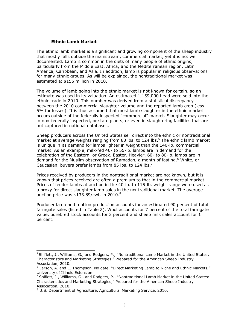#### **Ethnic Lamb Market**

The ethnic lamb market is a significant and growing component of the sheep industry that mostly falls outside the mainstream, commercial market, yet it is not well documented. Lamb is common in the diets of many people of ethnic origins, particularly from the Middle East, Africa, and the Mediterranean region, Latin America, Caribbean, and Asia. In addition, lamb is popular in religious observations for many ethnic groups. As will be explained, the nontraditional market was estimated at \$155 million in 2010.

The volume of lamb going into the ethnic market is not known for certain, so an estimate was used in its valuation. An estimated 1,159,000 head were sold into the ethnic trade in 2010. This number was derived from a statistical discrepancy between the 2010 commercial slaughter volume and the reported lamb crop (less 5% for losses). It is thus assumed that most lamb slaughter in the ethnic market occurs outside of the federally inspected "commercial" market. Slaughter may occur in non-federally inspected, or state plants, or even in slaughtering facilities that are not captured in national databases.

Sheep producers across the United States sell direct into the ethnic or nontraditional market at average weights ranging from 80 lbs. to 124 lbs.<sup>5</sup> The ethnic lamb market is unique in its demand for lambs lighter in weight than the 140-lb. commercial market. As an example, milk-fed 40- to 55-lb. lambs are in demand for the celebration of the Eastern, or Greek, Easter. Heavier, 60- to 80-lb. lambs are in demand for the Muslim observation of Ramadan, a month of fasting.<sup>6</sup> White, or Caucasian, buyers prefer lambs from 85 lbs. to 124 lbs.<sup>7</sup>

Prices received by producers in the nontraditional market are not known, but it is known that prices received are often a premium to that in the commercial market. Prices of feeder lambs at auction in the 40-lb. to 115-lb. weight range were used as a proxy for direct slaughter lamb sales in the nontraditional market. The average auction price was \$133.89/cwt. in 2010. $8$ 

Producer lamb and mutton production accounts for an estimated 90 percent of total farmgate sales (listed in Table 2). Wool accounts for 7 percent of the total farmgate value, purebred stock accounts for 2 percent and sheep milk sales account for 1 percent.

 $\overline{a}$ 

 $5$  Shiflett, J., Williams, G., and Rodgers, P., "Nontraditional Lamb Market in the United States: Characteristics and Marketing Strategies," Prepared for the American Sheep Industry Association, 2010.

 $6$  Larson, A. and E. Thompson. No date. "Direct Marketing Lamb to Niche and Ethnic Markets,"

University of Illinois Extension.<br><sup>7</sup> Shiflett, J., Williams, G., and Rodgers, P., "Nontraditional Lamb Market in the United States: Characteristics and Marketing Strategies," Prepared for the American Sheep Industry Association, 2010.

<sup>&</sup>lt;sup>8</sup> U.S. Department of Agriculture, Agricultural Marketing Service, 2010.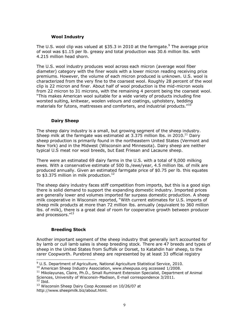#### **Wool Industry**

The U.S. wool clip was valued at \$35.3 in 2010 at the farmgate.<sup>9</sup> The average price of wool was \$1.15 per lb. greasy and total production was 30.6 million lbs. with 4.215 million head shorn.

The U.S. wool industry produces wool across each micron (average wool fiber diameter) category with the finer wools with a lower micron reading receiving price premiums. However, the volume of each micron produced is unknown. U.S. wool is characterized from the very fine to the coarsest wool. Roughly 28 percent of the wool clip is 22 micron and finer. About half of wool production is the mid-micron wools from 22 micron to 31 microns, with the remaining 4 percent being the coarsest wool. ―This makes American wool suitable for a wide variety of products including fine worsted suiting, knitwear, woolen velours and coatings, upholstery, bedding materials for futons, mattresses and comforters, and industrial products." $^{10}$ 

## **Dairy Sheep**

The sheep dairy industry is a small, but growing segment of the sheep industry. Sheep milk at the farmgate was estimated at 3.375 million lbs. in 2010.<sup>11</sup> Dairy sheep production is primarily found in the northeastern United States (Vermont and New York) and in the Midwest (Wisconsin and Minnesota). Dairy sheep are neither typical U.S meat nor wool breeds, but East Friesan and Lacaune sheep.

There were an estimated 69 dairy farms in the U.S. with a total of 9,000 milking ewes. With a conservative estimate of 500 lb./ewe/year, 4.5 million lbs. of milk are produced annually. Given an estimated farmgate price of \$0.75 per lb. this equates to \$3.375 million in milk production. $^{12}$ 

The sheep dairy industry faces stiff competition from imports, but this is a good sign there is solid demand to support the expanding domestic industry. Imported prices are generally lower and volumes imported far surpass domestic production. A sheep milk cooperative in Wisconsin reported, "With current estimates for U.S. imports of sheep milk products at more than 72 million lbs. annually (equivalent to 360 million lbs. of milk), there is a great deal of room for cooperative growth between producer and processors."<sup>13</sup>

## **Breeding Stock**

 $\overline{a}$ 

Another important segment of the sheep industry that generally isn't accounted for by lamb or cull lamb sales is sheep breeding stock. There are 47 breeds and types of sheep in the United States from Suffolk or Dorset, to Katahdin hair sheep, to the rarer Coopworth. Purebred sheep are represented by at least 33 official registry

<sup>&</sup>lt;sup>9</sup> U.S. Department of Agriculture, National Agriculture Statistical Service, 2010.

<sup>&</sup>lt;sup>10</sup> American Sheep Industry Association, [www.sheepusa.org](http://www.sheepusa.org/) accessed 1/2008.

<sup>&</sup>lt;sup>11</sup> Mikolayunas, Claire, Ph.D., Small Ruminant Extension Specialist, Department of Animal Sciences, University of Wisconsin-Madison, E-mail correspondence 3/2011.  $12$  Ibid.

<sup>&</sup>lt;sup>13</sup> Wisconsin Sheep Dairy Coop Accessed on 10/26/07 at http://www.sheepmilk.biz/about.html.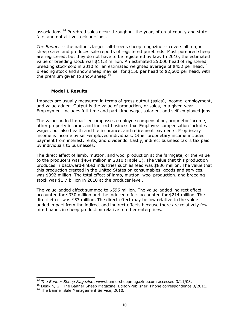associations.<sup>14</sup> Purebred sales occur throughout the year, often at county and state fairs and not at livestock auctions.

*The Banner* -- the nation's largest all-breeds sheep magazine -- covers all major sheep sales and produces sale reports of registered purebreds. Most purebred sheep are registered, but they do not have to be registered by law. In 2010, the estimated value of breeding stock was \$11.3 million. An estimated 25,000 head of registered breeding stock sold in 2010 for an estimated weighted average of \$452 per head.<sup>15</sup> Breeding stock and show sheep may sell for \$150 per head to \$2,600 per head, with the premium given to show sheep. $^{16}$ 

#### **Model 1 Results**

Impacts are usually measured in terms of gross output (sales), income, employment, and value added. Output is the value of production, or sales, in a given year. Employment includes full-time and part-time wage, salaried, and self-employed jobs.

The value-added impact encompasses employee compensation, proprietor income, other property income, and indirect business tax. Employee compensation includes wages, but also health and life insurance, and retirement payments. Proprietary income is income by self-employed individuals. Other proprietary income includes payment from interest, rents, and dividends. Lastly, indirect business tax is tax paid by individuals to businesses.

The direct effect of lamb, mutton, and wool production at the farmgate, or the value to the producers was \$464 million in 2010 (Table 3). The value that this production produces in backward-linked industries such as feed was \$836 million. The value that this production created in the United States on consumables, goods and services, was \$392 million. The total effect of lamb, mutton, wool production, and breeding stock was \$1.7 billion in 2010 at the producer level.

The value-added effect summed to \$596 million. The value-added indirect effect accounted for \$330 million and the induced effect accounted for \$214 million. The direct effect was \$53 million. The direct effect may be low relative to the valueadded impact from the indirect and indirect effects because there are relatively few hired hands in sheep production relative to other enterprises.

L

*<sup>14</sup> The Banner Sheep Magazine*, [www.bannersheepmagazine.com](http://www.bannersheepmagazine.com/) accessed 3/11/08.

<sup>&</sup>lt;sup>15</sup> Deakin, G., The Banner Sheep Magazine, Editor/Publisher. Phone correspondence 3/2011.

<sup>&</sup>lt;sup>16</sup> The Banner Sale Management Service, 2010.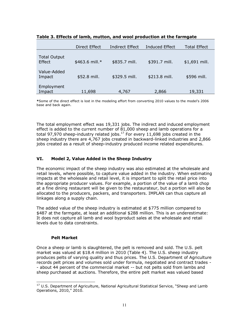|                               | <b>Direct Effect</b> | <b>Indirect Effect</b> | Induced Effect | <b>Total Effect</b> |
|-------------------------------|----------------------|------------------------|----------------|---------------------|
| <b>Total Output</b><br>Effect | \$463.6 mill.*       | \$835.7 mill.          | \$391.7 mill.  | \$1,691 mill.       |
| Value-Added<br>Impact         | \$52.8 mill.         | \$329.5 mill.          | \$213.8 mill.  | \$596 mill.         |
| Employment<br>Impact          | 11,698               | 4,767                  | 2,866          | 19,331              |

| Table 3. Effects of lamb, mutton, and wool production at the farmgate |  |
|-----------------------------------------------------------------------|--|
|-----------------------------------------------------------------------|--|

**\***Some of the direct effect is lost in the modeling effort from converting 2010 values to the model's 2006 base and back again.

The total employment effect was 19,331 jobs. The indirect and induced employment effect is added to the current number of 81,000 sheep and lamb operations for a total 97,970 sheep-industry related jobs. $^{17}$  For every 11,698 jobs created in the sheep industry there are 4,767 jobs created in backward-linked industries and 2,866 jobs created as a result of sheep-industry produced income related expenditures.

# **VI. Model 2, Value Added in the Sheep Industry**

The economic impact of the sheep industry was also estimated at the wholesale and retail levels, where possible, to capture value added in the industry. When estimating impacts at the wholesale and retail level, it is important to split the retail price into the appropriate producer values. For example, a portion of the value of a lamb chop at a fine dining restaurant will be given to the restaurateur, but a portion will also be allocated to the producers, packers, and transporters. IMPLAN can thus capture all linkages along a supply chain.

The added value of the sheep industry is estimated at \$775 million compared to \$487 at the farmgate, at least an additional \$288 million. This is an underestimate: It does not capture all lamb and wool byproduct sales at the wholesale and retail levels due to data constraints.

## **Pelt Market**

 $\overline{a}$ 

Once a sheep or lamb is slaughtered, the pelt is removed and sold. The U.S. pelt market was valued at \$18.4 million in 2010 (Table 4). The U.S. sheep industry produces pelts of varying quality and thus prices. The U.S. Department of Agriculture records pelt prices and volumes sold under formula, negotiated and contract trades - - about 44 percent of the commercial market -- but not pelts sold from lambs and sheep purchased at auctions. Therefore, the entire pelt market was valued based

 $17$  U.S. Department of Agriculture, National Agricultural Statistical Service, "Sheep and Lamb Operations, 2010," 2010.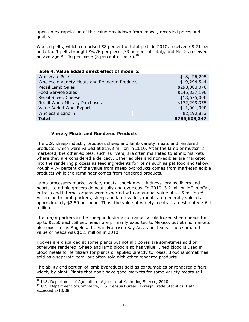upon an extrapolation of the value breakdown from known, recorded prices and quality.

Wooled pelts, which comprised 58 percent of total pelts in 2010, received \$8.21 per pelt; No. 1 pelts brought \$6.76 per piece (39 percent of total), and No. 2s received an average \$4.46 per piece (3 percent of pelts). $^{18}$ 

| <b>Wholesale Pelts</b>                        | \$18,426,205  |
|-----------------------------------------------|---------------|
| Wholesale Variety Meats and Rendered Products | \$19,294,544  |
| <b>Retail Lamb Sales</b>                      | \$298,383,076 |
| <b>Food Service Sales</b>                     | \$245,337,196 |
| Retail Sheep Cheese                           | \$18,675,000  |
| Retail Wool: Military Purchases               | \$172,299,355 |
| Value Added Wool Exports                      | \$11,001,000  |
| Wholesale Lanolin                             | \$2,192,873   |
| <b>Total</b>                                  | \$785,609,247 |

#### **Table 4. Value added direct effect of model 2**

#### **Variety Meats and Rendered Products**

The U.S. sheep industry produces sheep and lamb variety meats and rendered products, which were valued at \$19.3 million in 2010. After the lamb or mutton is marketed, the other edibles, such as livers, are often marketed to ethnic markets where they are considered a delicacy. Other edibles and non-edibles are marketed into the rendering process as feed ingredients for items such as pet food and tallow. Roughly 74 percent of the value from sheep byproducts comes from marketed edible products while the remainder comes from rendered products.

Lamb processors market variety meats, cheek meat, kidneys, brains, livers and hearts, to ethnic grocers domestically and overseas. In 2010, 3.2 million MT in offal, entrails and internal organs were exported with an annual value of \$4.5 million.<sup>19</sup> According to lamb packers, sheep and lamb variety meats are generally valued at approximately \$2.50 per head. Thus, the value of variety meats is an estimated  $$6.1$ million.

The major packers in the sheep industry also market whole frozen sheep heads for up to \$2.50 each. Sheep heads are primarily exported to Mexico, but ethnic markets also exist in Los Angeles, the San Francisco Bay Area and Texas. The estimated value of heads was \$6.1 million in 2010.

Hooves are discarded at some plants but not all; bones are sometimes sold or otherwise rendered. Sheep and lamb blood also has value. Dried blood is used in blood meals for fertilizers for plants or applied directly to roses. Blood is sometimes sold as a separate item, but often sold with other rendered products.

The ability and portion of lamb byproducts sold as consumables or rendered differs widely by plant. Plants that don't have good markets for some variety meats sell L

<sup>&</sup>lt;sup>18</sup> U.S. Department of Agriculture, Agricultural Marketing Service, 2010.

<sup>&</sup>lt;sup>19</sup> U.S. Department of Commerce, U.S. Census Bureau, Foreign Trade Statistics. Data accessed 2/18/08.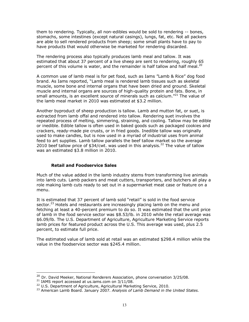them to rendering. Typically, all non-edibles would be sold to rendering -- bones, stomachs, some intestines (except natural casings), lungs, fat, etc. Not all packers are able to sell rendered products from sheep; some small plants have to pay to have products that would otherwise be marketed for rendering discarded.

The rendering process also typically produces lamb meal and tallow. It was estimated that about 37 percent of a live sheep are sent to rendering, roughly 65 percent of this volume is water, and the remainder is half tallow and half meal.<sup>20</sup>

A common use of lamb meal is for pet food, such as Iams "Lamb & Rice" dog food brand. As Iams reported, "Lamb meal is rendered lamb tissues such as skeletal muscle, some bone and internal organs that have been dried and ground. Skeletal muscle and internal organs are sources of high-quality protein and fats. Bone, in small amounts, is an excellent source of minerals such as calcium. $"^{21}$  The value of the lamb meal market in 2010 was estimated at \$3.2 million.

Another byproduct of sheep production is tallow. Lamb and mutton fat, or suet, is extracted from lamb offal and rendered into tallow. Rendering suet involves the repeated process of melting, simmering, straining, and cooling. Tallow may be edible or inedible. Edible tallow is often used in baked goods such as packaged cookies and crackers, ready-made pie crusts, or in fried goods. Inedible tallow was originally used to make candles, but is now used in a myriad of industrial uses from animal feed to art supplies. Lamb tallow parallels the beef tallow market so the average 2010 beef tallow price of \$34/cwt. was used in this analysis.<sup>22</sup> The value of tallow was an estimated \$3.8 million in 2010.

## **Retail and Foodservice Sales**

Much of the value added in the lamb industry stems from transforming live animals into lamb cuts. Lamb packers and meat cutters, transporters, and butchers all play a role making lamb cuts ready to set out in a supermarket meat case or feature on a menu.

It is estimated that 37 percent of lamb sold "retail" is sold in the food service sector.<sup>23</sup> Hotels and restaurants are increasingly placing lamb on the menu and fetching at least a 40-percent premium to do so. It was estimated that the unit price of lamb in the food service sector was \$8.53/lb. in 2010 while the retail average was \$6.09/lb. The U.S. Department of Agriculture, Agriculture Marketing Service reports lamb prices for featured product across the U.S. This average was used, plus 2.5 percent, to estimate full price.

The estimated value of lamb sold at retail was an estimated \$298.4 million while the value in the foodservice sector was \$245.4 million.

L

 $20$  Dr. David Meeker, National Renderers Association, phone conversation 3/25/08.

 $21$  IAMS report accessed at us.iams.com on  $3/11/08$ .

<sup>&</sup>lt;sup>22</sup> U.S. Department of Agriculture, Agricultural Marketing Service, 2010.

<sup>23</sup> American Lamb Board. January 2007. *Analysis of Lamb Demand in the United States.*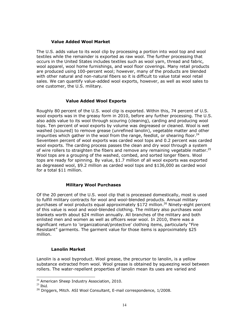#### **Value Added Wool Market**

The U.S. adds value to its wool clip by processing a portion into wool top and wool textiles while the remainder is exported as raw wool. The further processing that occurs in the United States includes textiles such as wool yarn, thread and fabric, wool apparel, wool home furnishings, and wool floor coverings. Many retail products are produced using 100-percent wool; however, many of the products are blended with other natural and non-natural fibers so it is difficult to value total wool retail sales. We can quantify value-added wool exports, however, as well as wool sales to one customer, the U.S. military.

#### **Value Added Wool Exports**

Roughly 80 percent of the U.S. wool clip is exported. Within this, 74 percent of U.S. wool exports was in the greasy form in 2010, before any further processing. The U.S. also adds value to its wool through scouring (cleaning), carding and producing wool tops. Ten percent of wool exports by volume was degreased or cleaned. Wool is wet washed (scoured) to remove grease (unrefined lanolin), vegetable matter and other impurities which gather in the wool from the range, feedlot, or shearing floor.<sup>24</sup> Seventeen percent of wool exports was carded wool tops and 0.2 percent was carded wool exports. The carding process passes the clean and dry wool through a system of wire rollers to straighten the fibers and remove any remaining vegetable matter.<sup>25</sup> Wool tops are a grouping of the washed, combed, and sorted longer fibers. Wool tops are ready for spinning. By value, \$1.7 million of all wool exports was exported as degreased wool, \$9.2 million as carded wool tops and \$136,000 as carded wool for a total \$11 million.

#### **Military Wool Purchases**

Of the 20 percent of the U.S. wool clip that is processed domestically, most is used to fulfill military contracts for wool and wool-blended products. Annual military purchases of wool products equal approximately \$172 million.<sup>26</sup> Ninety-eight percent of this value is wool and wool-blended clothing. The military also purchases wool blankets worth about \$24 million annually. All branches of the military and both enlisted men and women as well as officers wear wool. In 2010, there was a significant return to 'organizational/protective' clothing items, particularly "Fire Resistant‖ garments. The garment value for those items is approximately \$25 million.

## **Lanolin Market**

Lanolin is a wool byproduct. Wool grease, the precursor to lanolin, is a yellow substance extracted from wool. Wool grease is obtained by squeezing wool between rollers. The water-repellent properties of lanolin mean its uses are varied and

 $\overline{a}$ 

<sup>&</sup>lt;sup>24</sup> American Sheep Industry Association, 2010.

 $25$  Ibid.

<sup>&</sup>lt;sup>26</sup> Driggers, Mitch. ASI Wool Consultant, E-mail correspondence, 1/2008.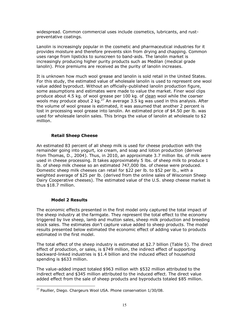widespread. Common commercial uses include cosmetics, lubricants, and rustpreventative coatings.

Lanolin is increasingly popular in the cosmetic and pharmaceutical industries for it provides moisture and therefore prevents skin from drying and chapping. Common uses range from lipsticks to sunscreen to band-aids. The lanolin market is increasingly producing higher purity products such as Medilan (medical grade lanolin). Price premiums are received as the purity of lanolin increases.

It is unknown how much wool grease and lanolin is sold retail in the United States. For this study, the estimated value of wholesale lanolin is used to represent one wool value added byproduct. Without an officially-published lanolin production figure, some assumptions and estimates were made to value the market. Finer wool clips produce about 4.5 kg. of wool grease per 100 kg. of clean wool while the coarser wools may produce about 2 kg.<sup>27</sup> An average 3.5 kg was used in this analysis. After the volume of wool grease is estimated, it was assumed that another 2 percent is lost in processing wool grease into lanolin. An estimated price of \$4.50 per lb. was used for wholesale lanolin sales. This brings the value of lanolin at wholesale to \$2 million.

## **Retail Sheep Cheese**

An estimated 83 percent of all sheep milk is used for cheese production with the remainder going into yogurt, ice cream, and soap and lotion production (derived from Thomas, D., 2004). Thus, in 2010, an approximate 3.7 million lbs. of milk were used in cheese processing. It takes approximately 5 lbs. of sheep milk to produce 1 lb. of sheep milk cheese so an estimated 747,000 lbs. of cheese were produced. Domestic sheep milk cheeses can retail for \$22 per lb. to \$52 per lb., with a weighted average of \$25 per lb. (derived from the online sales of Wisconsin Sheep Dairy Cooperative cheeses). The estimated value of the U.S. sheep cheese market is thus \$18.7 million.

#### **Model 2 Results**

L

The economic effects presented in the first model only captured the total impact of the sheep industry at the farmgate. They represent the total effect to the economy triggered by live sheep, lamb and mutton sales, sheep milk production and breeding stock sales. The estimates don't capture value added to sheep products. The model results presented below estimated the economic effect of adding value to products estimated in the first model.

The total effect of the sheep industry is estimated at \$2.7 billion (Table 5). The direct effect of production, or sales, is \$749 million, the indirect effect of supporting backward-linked industries is \$1.4 billion and the induced effect of household spending is \$633 million.

The value-added impact totaled \$963 million with \$532 million attributed to the indirect effect and \$345 million attributed to the induced effect. The direct value added effect from the sale of sheep products and byproducts totaled \$85 million.

 $^{27}$  Paullier, Diego. Chargeurs Wool USA. Phone conservation 1/30/08.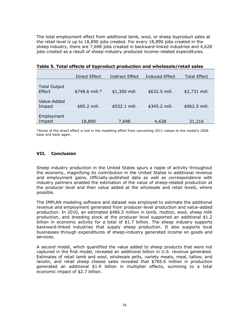The total employment effect from additional lamb, wool, or sheep byproduct sales at the retail level is up to 18,890 jobs created. For every 18,890 jobs created in the sheep industry, there are 7,698 jobs created in backward-linked industries and 4,628 jobs created as a result of sheep-industry produced income-related expenditures.

|                                      | Direct Effect  | <b>Indirect Effect</b> | <b>Induced Effect</b> | <b>Total Effect</b> |
|--------------------------------------|----------------|------------------------|-----------------------|---------------------|
| <b>Total Output</b><br><b>Effect</b> | \$748.6 mill.* | \$1,350 mill.          | \$632.5 mill.         | \$2,731 mill.       |
| Value-Added<br>Impact                | \$85.2 mill.   | \$532.1 mill.          | \$345.2 mill.         | \$962.5 mill.       |
| Employment<br>Impact                 | 18,890         | 7,698                  | 4,628                 | 31,216              |

\*Some of the direct effect is lost in the modeling effort from converting 2011 values to the model's 2006 base and back again.

#### **VII. Conclusion**

Sheep industry production in the United States spurs a ripple of activity throughout the economy, magnifying its contribution in the United States in additional revenue and employment gains. Officially-published data as well as correspondence with industry partners enabled the estimation of the value of sheep-related production at the producer level and then value added at the wholesale and retail levels, where possible.

The IMPLAN modeling software and dataset was employed to estimate the additional revenue and employment generated from producer-level production and value-added production. In 2010, an estimated \$486.5 million in lamb, mutton, wool, sheep milk production, and breeding stock at the producer level supported an additional \$1.2 billion in economic activity for a total of \$1.7 billion. The sheep industry supports backward-linked industries that supply sheep production. It also supports local businesses through expenditures of sheep-industry generated income on goods and services.

A second model, which quantified the value added to sheep products that were not captured in the first model, revealed an additional billion in U.S. revenue generated. Estimates of retail lamb and wool, wholesale pelts, variety meats, meal, tallow, and lanolin, and retail sheep cheese sales revealed that \$785.6 million in production generated an additional \$1.9 billion in multiplier effects, summing to a total economic impact of \$2.7 billion.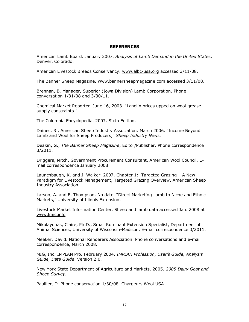#### **REFERENCES**

American Lamb Board. January 2007. *Analysis of Lamb Demand in the United States*. Denver, Colorado.

American Livestock Breeds Conservancy. [www.albc-usa.org](http://www.albc-usa.org/) accessed 3/11/08.

The Banner Sheep Magazine. [www.bannersheepmagazine.com](http://www.bannersheepmagazine.com/) accessed 3/11/08.

Brennan, B. Manager, Superior (Iowa Division) Lamb Corporation. Phone conversation 1/31/08 and 3/30/11.

Chemical Market Reporter. June 16, 2003. "Lanolin prices upped on wool grease supply constraints."

The Columbia Encyclopedia. 2007. Sixth Edition.

Daines, R, American Sheep Industry Association. March 2006. "Income Beyond Lamb and Wool for Sheep Producers," Sheep Industry News.

Deakin, G., *The Banner Sheep Magazine*, Editor/Publisher. Phone correspondence 3/2011.

Driggers, Mitch. Government Procurement Consultant, American Wool Council, Email correspondence January 2008.

Launchbaugh, K, and J. Walker. 2007. Chapter 1: Targeted Grazing – A New Paradigm for Livestock Management, Targeted Grazing Overview. American Sheep Industry Association.

Larson, A. and E. Thompson. No date. "Direct Marketing Lamb to Niche and Ethnic Markets," University of Illinois Extension.

Livestock Market Information Center. Sheep and lamb data accessed Jan. 2008 at [www.lmic.info](http://www.lmic.info/).

Mikolayunas, Claire, Ph.D., Small Ruminant Extension Specialist, Department of Animal Sciences, University of Wisconsin-Madison, E-mail correspondence 3/2011.

Meeker, David. National Renderers Association. Phone conversations and e-mail correspondence, March 2008.

MIG, Inc. IMPLAN Pro. February 2004. *IMPLAN Profession, User's Guide, Analysis Guide, Data Guide*. Version 2.0.

New York State Department of Agriculture and Markets. 2005. *2005 Dairy Goat and Sheep Survey.*

Paullier, D. Phone conservation 1/30/08. Chargeurs Wool USA.